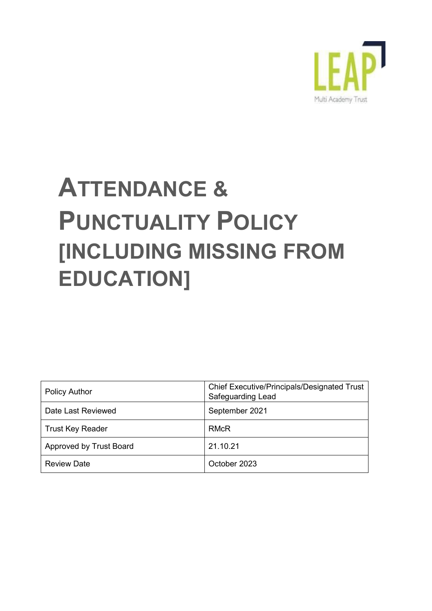

# **ATTENDANCE & PUNCTUALITY POLICY [INCLUDING MISSING FROM EDUCATION]**

| <b>Policy Author</b>    | <b>Chief Executive/Principals/Designated Trust</b><br><b>Safeguarding Lead</b> |
|-------------------------|--------------------------------------------------------------------------------|
| Date Last Reviewed      | September 2021                                                                 |
| <b>Trust Key Reader</b> | <b>RMcR</b>                                                                    |
| Approved by Trust Board | 21.10.21                                                                       |
| <b>Review Date</b>      | October 2023                                                                   |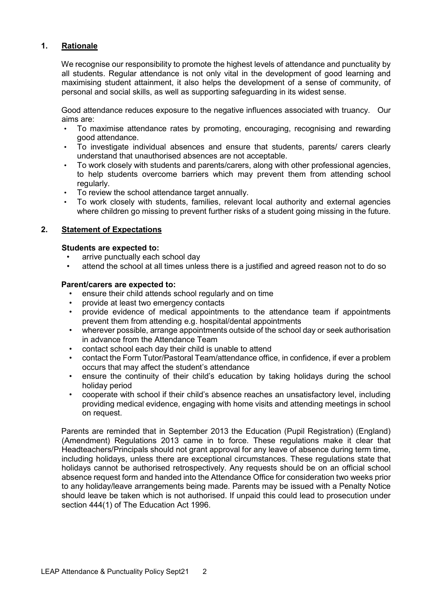## **1. Rationale**

We recognise our responsibility to promote the highest levels of attendance and punctuality by all students. Regular attendance is not only vital in the development of good learning and maximising student attainment, it also helps the development of a sense of community, of personal and social skills, as well as supporting safeguarding in its widest sense.

Good attendance reduces exposure to the negative influences associated with truancy. Our aims are:

- To maximise attendance rates by promoting, encouraging, recognising and rewarding good attendance.
- To investigate individual absences and ensure that students, parents/ carers clearly understand that unauthorised absences are not acceptable.
- To work closely with students and parents/carers, along with other professional agencies, to help students overcome barriers which may prevent them from attending school regularly.
- To review the school attendance target annually.
- To work closely with students, families, relevant local authority and external agencies where children go missing to prevent further risks of a student going missing in the future.

### **2. Statement of Expectations**

### **Students are expected to:**

- arrive punctually each school day
- attend the school at all times unless there is a justified and agreed reason not to do so

#### **Parent/carers are expected to:**

- ensure their child attends school regularly and on time
- provide at least two emergency contacts
- provide evidence of medical appointments to the attendance team if appointments prevent them from attending e.g. hospital/dental appointments
- wherever possible, arrange appointments outside of the school day or seek authorisation in advance from the Attendance Team
- contact school each day their child is unable to attend
- contact the Form Tutor/Pastoral Team/attendance office, in confidence, if ever a problem occurs that may affect the student's attendance
- ensure the continuity of their child's education by taking holidays during the school holiday period
- cooperate with school if their child's absence reaches an unsatisfactory level, including providing medical evidence, engaging with home visits and attending meetings in school on request.

Parents are reminded that in September 2013 the Education (Pupil Registration) (England) (Amendment) Regulations 2013 came in to force. These regulations make it clear that Headteachers/Principals should not grant approval for any leave of absence during term time, including holidays, unless there are exceptional circumstances. These regulations state that holidays cannot be authorised retrospectively. Any requests should be on an official school absence request form and handed into the Attendance Office for consideration two weeks prior to any holiday/leave arrangements being made. Parents may be issued with a Penalty Notice should leave be taken which is not authorised. If unpaid this could lead to prosecution under section 444(1) of The Education Act 1996.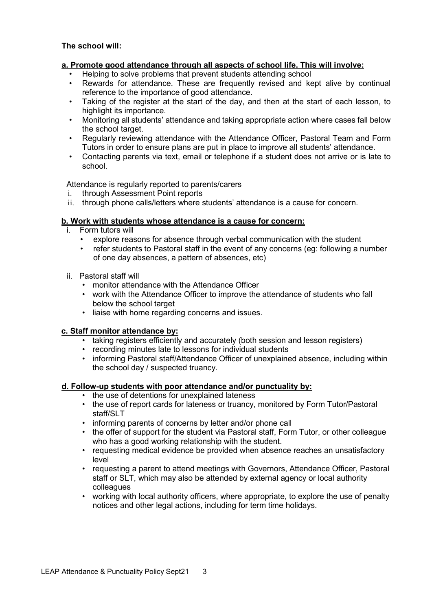### **a. Promote good attendance through all aspects of school life. This will involve:**

- Helping to solve problems that prevent students attending school
- Rewards for attendance. These are frequently revised and kept alive by continual reference to the importance of good attendance.
- Taking of the register at the start of the day, and then at the start of each lesson, to highlight its importance.
- Monitoring all students' attendance and taking appropriate action where cases fall below the school target.
- Regularly reviewing attendance with the Attendance Officer, Pastoral Team and Form Tutors in order to ensure plans are put in place to improve all students' attendance.
- Contacting parents via text, email or telephone if a student does not arrive or is late to school.

Attendance is regularly reported to parents/carers

- i. through Assessment Point reports
- ii. through phone calls/letters where students' attendance is a cause for concern.

### **b. Work with students whose attendance is a cause for concern:**

- i. Form tutors will
	- explore reasons for absence through verbal communication with the student
	- refer students to Pastoral staff in the event of any concerns (eg: following a number of one day absences, a pattern of absences, etc)
- ii. Pastoral staff will
	- monitor attendance with the Attendance Officer
	- work with the Attendance Officer to improve the attendance of students who fall below the school target
	- liaise with home regarding concerns and issues.

#### **c. Staff monitor attendance by:**

- taking registers efficiently and accurately (both session and lesson registers)
- recording minutes late to lessons for individual students
- informing Pastoral staff/Attendance Officer of unexplained absence, including within the school day / suspected truancy.

### **d. Follow-up students with poor attendance and/or punctuality by:**

- the use of detentions for unexplained lateness
- the use of report cards for lateness or truancy, monitored by Form Tutor/Pastoral staff/SLT
- informing parents of concerns by letter and/or phone call
- the offer of support for the student via Pastoral staff, Form Tutor, or other colleague who has a good working relationship with the student.
- requesting medical evidence be provided when absence reaches an unsatisfactory level
- requesting a parent to attend meetings with Governors, Attendance Officer, Pastoral staff or SLT, which may also be attended by external agency or local authority colleagues
- working with local authority officers, where appropriate, to explore the use of penalty notices and other legal actions, including for term time holidays.